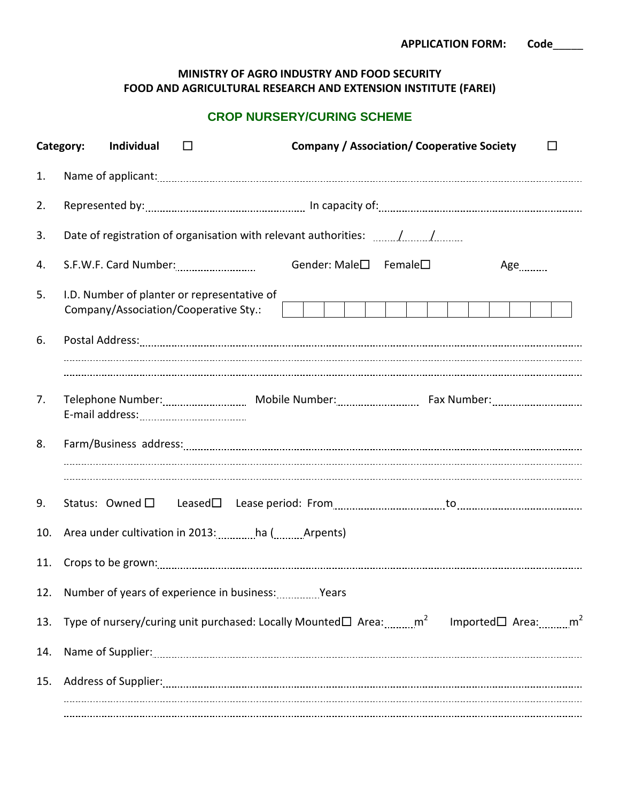## **MINISTRY OF AGRO INDUSTRY AND FOOD SECURITY FOOD AND AGRICULTURAL RESEARCH AND EXTENSION INSTITUTE (FAREI)**

## **CROP NURSERY/CURING SCHEME**

|     | <b>Company / Association/ Cooperative Society</b><br>Category:<br>Individual<br>$\Box$<br>$\Box$                                        |  |  |  |  |  |
|-----|-----------------------------------------------------------------------------------------------------------------------------------------|--|--|--|--|--|
| 1.  |                                                                                                                                         |  |  |  |  |  |
| 2.  |                                                                                                                                         |  |  |  |  |  |
| 3.  | Date of registration of organisation with relevant authorities: //                                                                      |  |  |  |  |  |
| 4.  | Gender: Male□ Female□<br>Age                                                                                                            |  |  |  |  |  |
| 5.  | I.D. Number of planter or representative of<br>Company/Association/Cooperative Sty.:                                                    |  |  |  |  |  |
| 6.  |                                                                                                                                         |  |  |  |  |  |
|     |                                                                                                                                         |  |  |  |  |  |
| 7.  |                                                                                                                                         |  |  |  |  |  |
| 8.  |                                                                                                                                         |  |  |  |  |  |
| 9.  |                                                                                                                                         |  |  |  |  |  |
| 10. | Area under cultivation in 2013: ha ( Arpents)                                                                                           |  |  |  |  |  |
| 11. |                                                                                                                                         |  |  |  |  |  |
|     | 12. Number of years of experience in business: www.years                                                                                |  |  |  |  |  |
| 13. | Type of nursery/curing unit purchased: Locally Mounted $\square$ Area: $\ldots$ m $^2$ Imported $\square$ Area: $\ldots$ m <sup>2</sup> |  |  |  |  |  |
| 14. |                                                                                                                                         |  |  |  |  |  |
| 15. |                                                                                                                                         |  |  |  |  |  |
|     |                                                                                                                                         |  |  |  |  |  |